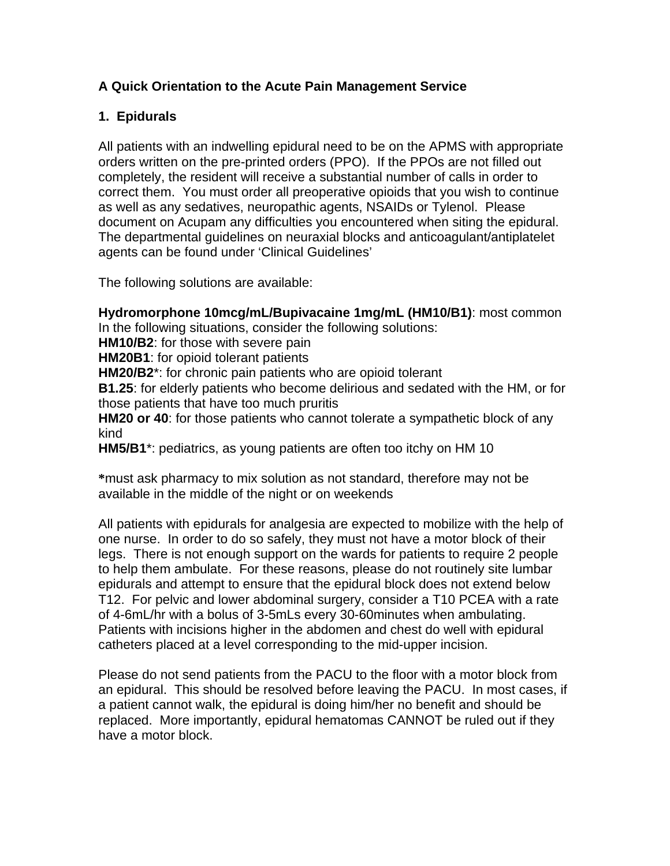# **A Quick Orientation to the Acute Pain Management Service**

# **1. Epidurals**

All patients with an indwelling epidural need to be on the APMS with appropriate orders written on the pre-printed orders (PPO). If the PPOs are not filled out completely, the resident will receive a substantial number of calls in order to correct them. You must order all preoperative opioids that you wish to continue as well as any sedatives, neuropathic agents, NSAIDs or Tylenol. Please document on Acupam any difficulties you encountered when siting the epidural. The departmental guidelines on neuraxial blocks and anticoagulant/antiplatelet agents can be found under 'Clinical Guidelines'

The following solutions are available:

**Hydromorphone 10mcg/mL/Bupivacaine 1mg/mL (HM10/B1)**: most common In the following situations, consider the following solutions:

**HM10/B2**: for those with severe pain

**HM20B1**: for opioid tolerant patients

**HM20/B2**\*: for chronic pain patients who are opioid tolerant

**B1.25**: for elderly patients who become delirious and sedated with the HM, or for those patients that have too much pruritis

**HM20 or 40**: for those patients who cannot tolerate a sympathetic block of any kind

**HM5/B1**\*: pediatrics, as young patients are often too itchy on HM 10

**\***must ask pharmacy to mix solution as not standard, therefore may not be available in the middle of the night or on weekends

All patients with epidurals for analgesia are expected to mobilize with the help of one nurse. In order to do so safely, they must not have a motor block of their legs. There is not enough support on the wards for patients to require 2 people to help them ambulate. For these reasons, please do not routinely site lumbar epidurals and attempt to ensure that the epidural block does not extend below T12. For pelvic and lower abdominal surgery, consider a T10 PCEA with a rate of 4-6mL/hr with a bolus of 3-5mLs every 30-60minutes when ambulating. Patients with incisions higher in the abdomen and chest do well with epidural catheters placed at a level corresponding to the mid-upper incision.

Please do not send patients from the PACU to the floor with a motor block from an epidural. This should be resolved before leaving the PACU. In most cases, if a patient cannot walk, the epidural is doing him/her no benefit and should be replaced. More importantly, epidural hematomas CANNOT be ruled out if they have a motor block.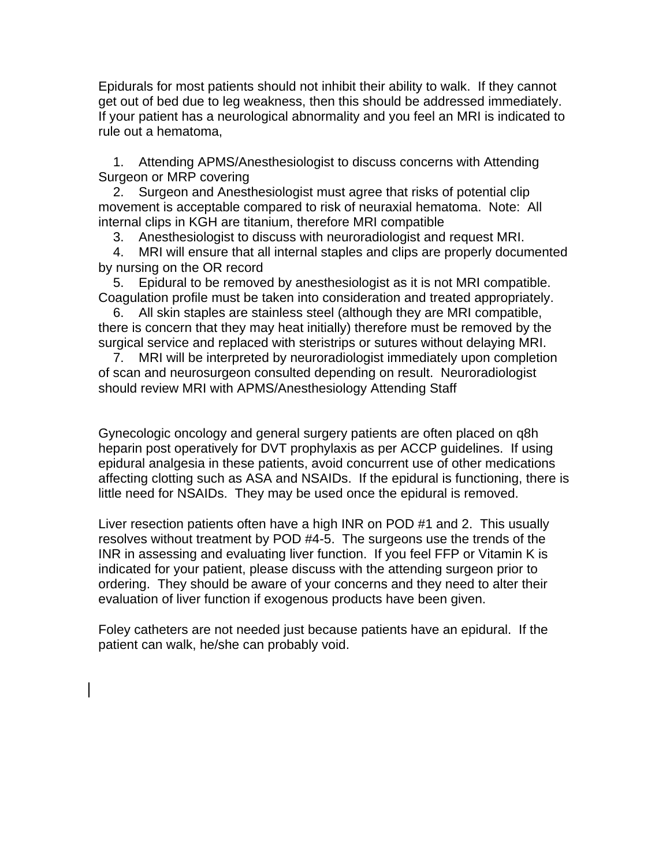Epidurals for most patients should not inhibit their ability to walk. If they cannot get out of bed due to leg weakness, then this should be addressed immediately. If your patient has a neurological abnormality and you feel an MRI is indicated to rule out a hematoma,

 1. Attending APMS/Anesthesiologist to discuss concerns with Attending Surgeon or MRP covering

 2. Surgeon and Anesthesiologist must agree that risks of potential clip movement is acceptable compared to risk of neuraxial hematoma. Note: All internal clips in KGH are titanium, therefore MRI compatible

3. Anesthesiologist to discuss with neuroradiologist and request MRI.

 4. MRI will ensure that all internal staples and clips are properly documented by nursing on the OR record

 5. Epidural to be removed by anesthesiologist as it is not MRI compatible. Coagulation profile must be taken into consideration and treated appropriately.

 6. All skin staples are stainless steel (although they are MRI compatible, there is concern that they may heat initially) therefore must be removed by the surgical service and replaced with steristrips or sutures without delaying MRI.

 7. MRI will be interpreted by neuroradiologist immediately upon completion of scan and neurosurgeon consulted depending on result. Neuroradiologist should review MRI with APMS/Anesthesiology Attending Staff

Gynecologic oncology and general surgery patients are often placed on q8h heparin post operatively for DVT prophylaxis as per ACCP guidelines. If using epidural analgesia in these patients, avoid concurrent use of other medications affecting clotting such as ASA and NSAIDs. If the epidural is functioning, there is little need for NSAIDs. They may be used once the epidural is removed.

Liver resection patients often have a high INR on POD #1 and 2. This usually resolves without treatment by POD #4-5. The surgeons use the trends of the INR in assessing and evaluating liver function. If you feel FFP or Vitamin K is indicated for your patient, please discuss with the attending surgeon prior to ordering. They should be aware of your concerns and they need to alter their evaluation of liver function if exogenous products have been given.

Foley catheters are not needed just because patients have an epidural. If the patient can walk, he/she can probably void.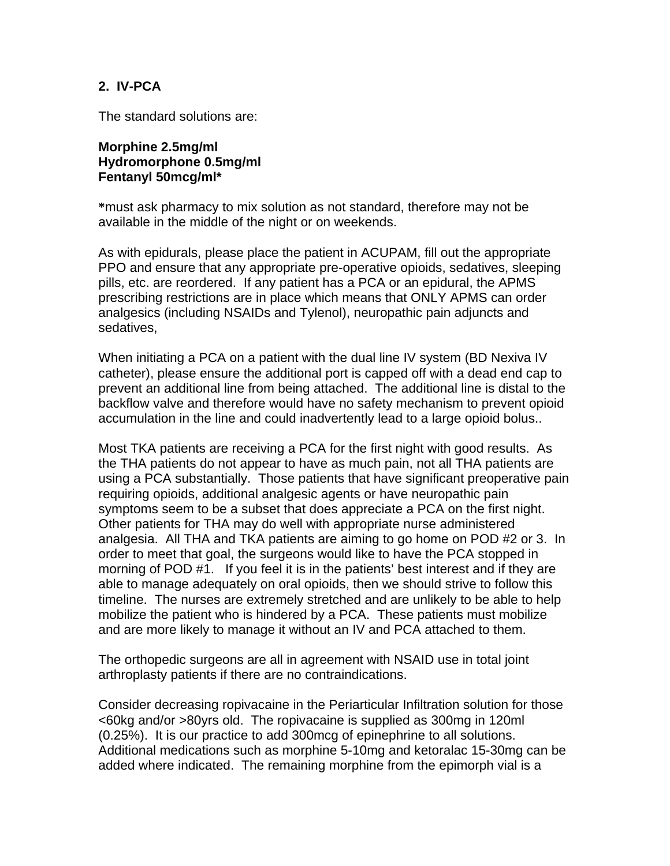### **2. IV-PCA**

The standard solutions are:

#### **Morphine 2.5mg/ml Hydromorphone 0.5mg/ml Fentanyl 50mcg/ml\***

**\***must ask pharmacy to mix solution as not standard, therefore may not be available in the middle of the night or on weekends.

As with epidurals, please place the patient in ACUPAM, fill out the appropriate PPO and ensure that any appropriate pre-operative opioids, sedatives, sleeping pills, etc. are reordered. If any patient has a PCA or an epidural, the APMS prescribing restrictions are in place which means that ONLY APMS can order analgesics (including NSAIDs and Tylenol), neuropathic pain adjuncts and sedatives,

When initiating a PCA on a patient with the dual line IV system (BD Nexiva IV catheter), please ensure the additional port is capped off with a dead end cap to prevent an additional line from being attached. The additional line is distal to the backflow valve and therefore would have no safety mechanism to prevent opioid accumulation in the line and could inadvertently lead to a large opioid bolus..

Most TKA patients are receiving a PCA for the first night with good results. As the THA patients do not appear to have as much pain, not all THA patients are using a PCA substantially. Those patients that have significant preoperative pain requiring opioids, additional analgesic agents or have neuropathic pain symptoms seem to be a subset that does appreciate a PCA on the first night. Other patients for THA may do well with appropriate nurse administered analgesia. All THA and TKA patients are aiming to go home on POD #2 or 3. In order to meet that goal, the surgeons would like to have the PCA stopped in morning of POD #1. If you feel it is in the patients' best interest and if they are able to manage adequately on oral opioids, then we should strive to follow this timeline. The nurses are extremely stretched and are unlikely to be able to help mobilize the patient who is hindered by a PCA. These patients must mobilize and are more likely to manage it without an IV and PCA attached to them.

The orthopedic surgeons are all in agreement with NSAID use in total joint arthroplasty patients if there are no contraindications.

Consider decreasing ropivacaine in the Periarticular Infiltration solution for those <60kg and/or >80yrs old. The ropivacaine is supplied as 300mg in 120ml (0.25%). It is our practice to add 300mcg of epinephrine to all solutions. Additional medications such as morphine 5-10mg and ketoralac 15-30mg can be added where indicated. The remaining morphine from the epimorph vial is a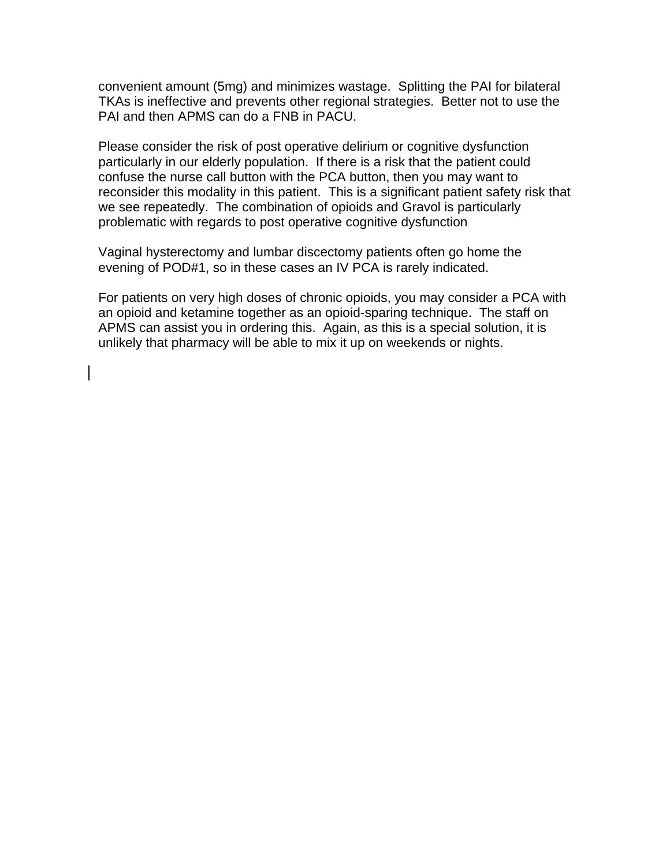convenient amount (5mg) and minimizes wastage. Splitting the PAI for bilateral TKAs is ineffective and prevents other regional strategies. Better not to use the PAI and then APMS can do a FNB in PACU.

Please consider the risk of post operative delirium or cognitive dysfunction particularly in our elderly population. If there is a risk that the patient could confuse the nurse call button with the PCA button, then you may want to reconsider this modality in this patient. This is a significant patient safety risk that we see repeatedly. The combination of opioids and Gravol is particularly problematic with regards to post operative cognitive dysfunction

Vaginal hysterectomy and lumbar discectomy patients often go home the evening of POD#1, so in these cases an IV PCA is rarely indicated.

For patients on very high doses of chronic opioids, you may consider a PCA with an opioid and ketamine together as an opioid-sparing technique. The staff on APMS can assist you in ordering this. Again, as this is a special solution, it is unlikely that pharmacy will be able to mix it up on weekends or nights.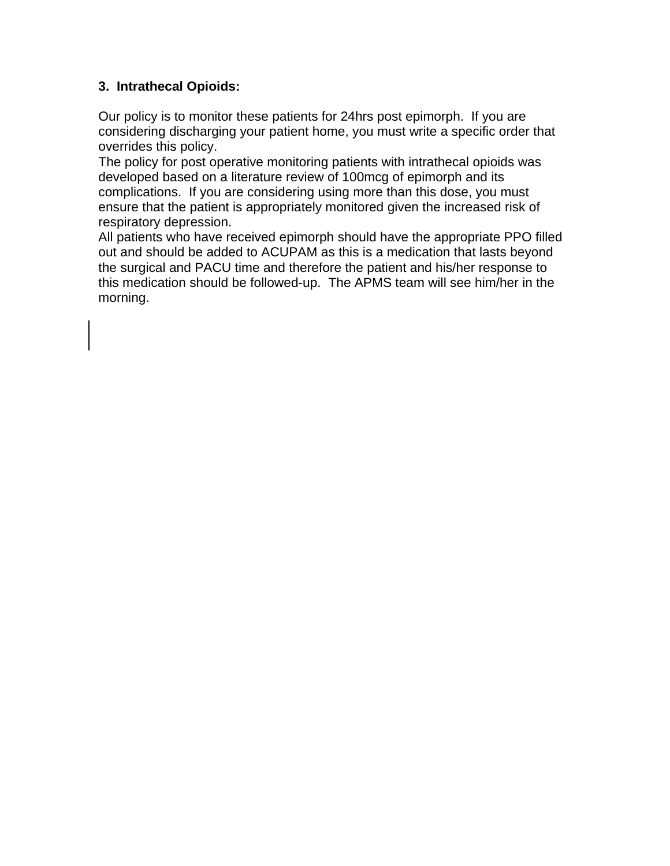## **3. Intrathecal Opioids:**

Our policy is to monitor these patients for 24hrs post epimorph. If you are considering discharging your patient home, you must write a specific order that overrides this policy.

The policy for post operative monitoring patients with intrathecal opioids was developed based on a literature review of 100mcg of epimorph and its complications. If you are considering using more than this dose, you must ensure that the patient is appropriately monitored given the increased risk of respiratory depression.

All patients who have received epimorph should have the appropriate PPO filled out and should be added to ACUPAM as this is a medication that lasts beyond the surgical and PACU time and therefore the patient and his/her response to this medication should be followed-up. The APMS team will see him/her in the morning.